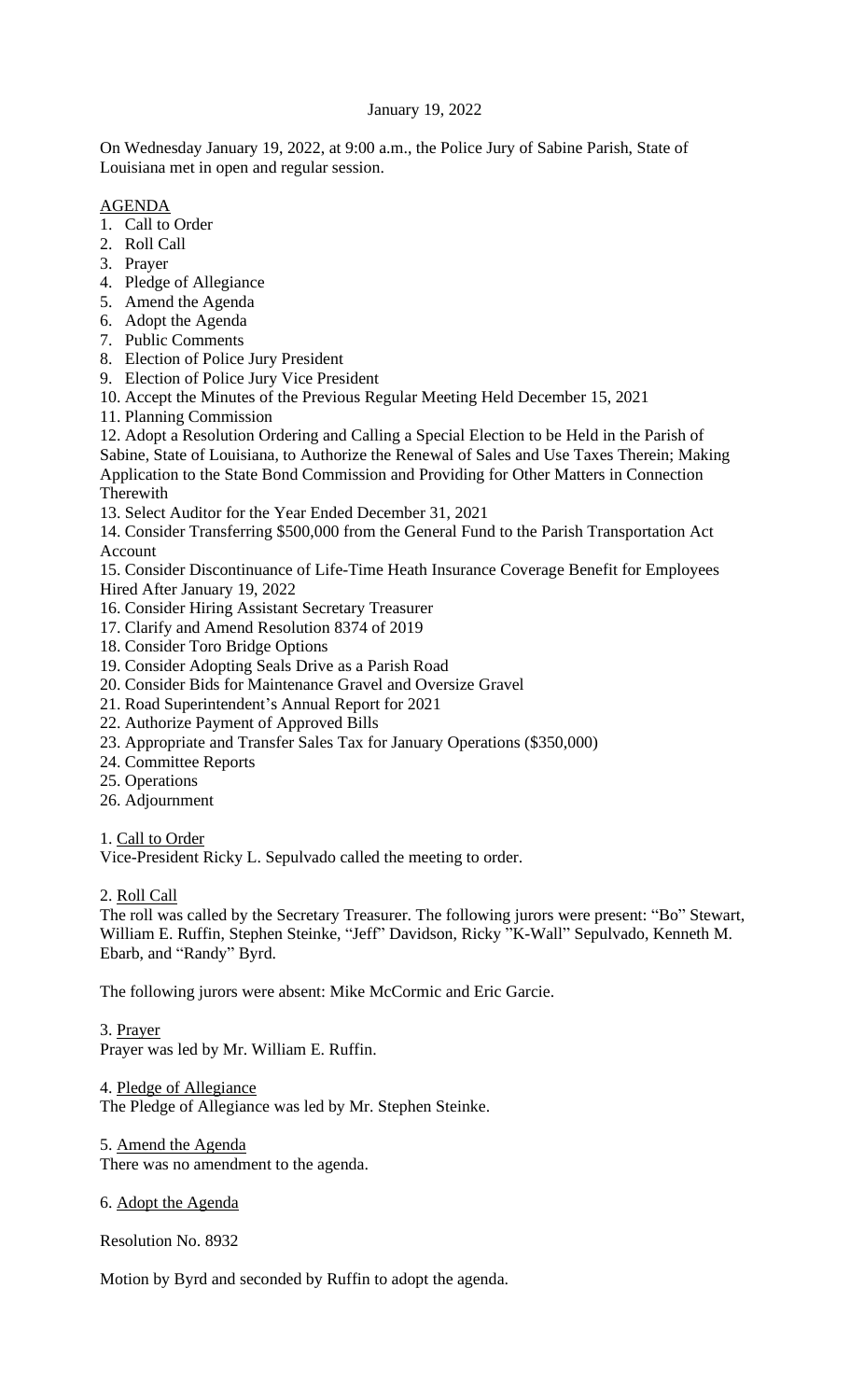# January 19, 2022

On Wednesday January 19, 2022, at 9:00 a.m., the Police Jury of Sabine Parish, State of Louisiana met in open and regular session.

# AGENDA

- 1. Call to Order
- 2. Roll Call
- 3. Prayer
- 4. Pledge of Allegiance
- 5. Amend the Agenda
- 6. Adopt the Agenda
- 7. Public Comments
- 8. Election of Police Jury President
- 9. Election of Police Jury Vice President
- 10. Accept the Minutes of the Previous Regular Meeting Held December 15, 2021
- 11. Planning Commission

12. Adopt a Resolution Ordering and Calling a Special Election to be Held in the Parish of Sabine, State of Louisiana, to Authorize the Renewal of Sales and Use Taxes Therein; Making Application to the State Bond Commission and Providing for Other Matters in Connection Therewith

13. Select Auditor for the Year Ended December 31, 2021

14. Consider Transferring \$500,000 from the General Fund to the Parish Transportation Act Account

15. Consider Discontinuance of Life-Time Heath Insurance Coverage Benefit for Employees Hired After January 19, 2022

- 16. Consider Hiring Assistant Secretary Treasurer
- 17. Clarify and Amend Resolution 8374 of 2019
- 18. Consider Toro Bridge Options
- 19. Consider Adopting Seals Drive as a Parish Road
- 20. Consider Bids for Maintenance Gravel and Oversize Gravel
- 21. Road Superintendent's Annual Report for 2021
- 22. Authorize Payment of Approved Bills
- 23. Appropriate and Transfer Sales Tax for January Operations (\$350,000)
- 24. Committee Reports
- 25. Operations
- 26. Adjournment

1. Call to Order

Vice-President Ricky L. Sepulvado called the meeting to order.

# 2. Roll Call

The roll was called by the Secretary Treasurer. The following jurors were present: "Bo" Stewart, William E. Ruffin, Stephen Steinke, "Jeff" Davidson, Ricky "K-Wall" Sepulvado, Kenneth M. Ebarb, and "Randy" Byrd.

The following jurors were absent: Mike McCormic and Eric Garcie.

# 3. Prayer

Prayer was led by Mr. William E. Ruffin.

4. Pledge of Allegiance The Pledge of Allegiance was led by Mr. Stephen Steinke.

5. Amend the Agenda

There was no amendment to the agenda.

# 6. Adopt the Agenda

Resolution No. 8932

Motion by Byrd and seconded by Ruffin to adopt the agenda.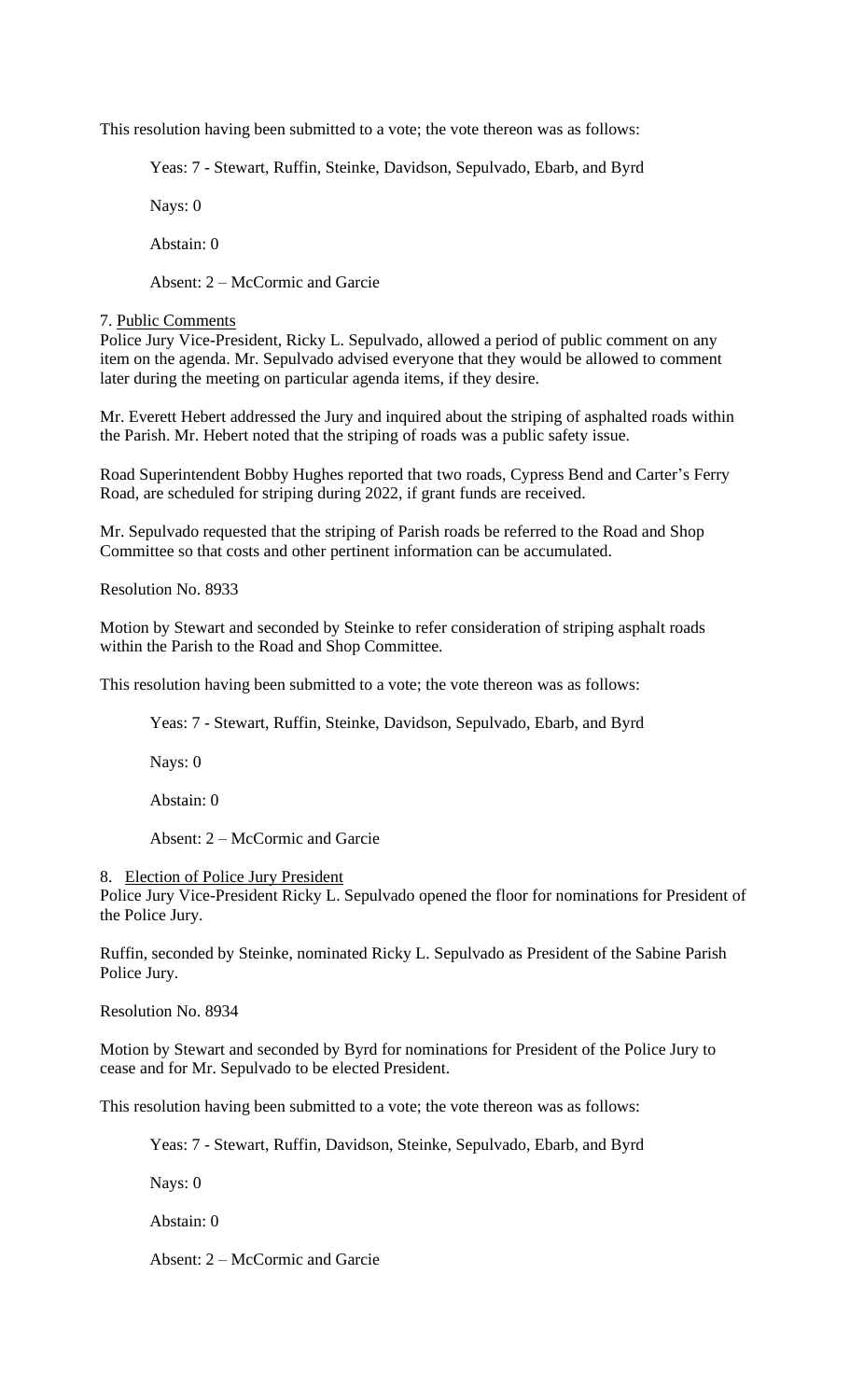This resolution having been submitted to a vote; the vote thereon was as follows:

Yeas: 7 - Stewart, Ruffin, Steinke, Davidson, Sepulvado, Ebarb, and Byrd

Nays: 0

Abstain: 0

Absent: 2 – McCormic and Garcie

# 7. Public Comments

Police Jury Vice-President, Ricky L. Sepulvado, allowed a period of public comment on any item on the agenda. Mr. Sepulvado advised everyone that they would be allowed to comment later during the meeting on particular agenda items, if they desire.

Mr. Everett Hebert addressed the Jury and inquired about the striping of asphalted roads within the Parish. Mr. Hebert noted that the striping of roads was a public safety issue.

Road Superintendent Bobby Hughes reported that two roads, Cypress Bend and Carter's Ferry Road, are scheduled for striping during 2022, if grant funds are received.

Mr. Sepulvado requested that the striping of Parish roads be referred to the Road and Shop Committee so that costs and other pertinent information can be accumulated.

Resolution No. 8933

Motion by Stewart and seconded by Steinke to refer consideration of striping asphalt roads within the Parish to the Road and Shop Committee.

This resolution having been submitted to a vote; the vote thereon was as follows:

Yeas: 7 - Stewart, Ruffin, Steinke, Davidson, Sepulvado, Ebarb, and Byrd

Nays: 0

Abstain: 0

Absent: 2 – McCormic and Garcie

8. Election of Police Jury President

Police Jury Vice-President Ricky L. Sepulvado opened the floor for nominations for President of the Police Jury.

Ruffin, seconded by Steinke, nominated Ricky L. Sepulvado as President of the Sabine Parish Police Jury.

Resolution No. 8934

Motion by Stewart and seconded by Byrd for nominations for President of the Police Jury to cease and for Mr. Sepulvado to be elected President.

This resolution having been submitted to a vote; the vote thereon was as follows:

Yeas: 7 - Stewart, Ruffin, Davidson, Steinke, Sepulvado, Ebarb, and Byrd

Nays: 0

Abstain: 0

Absent: 2 – McCormic and Garcie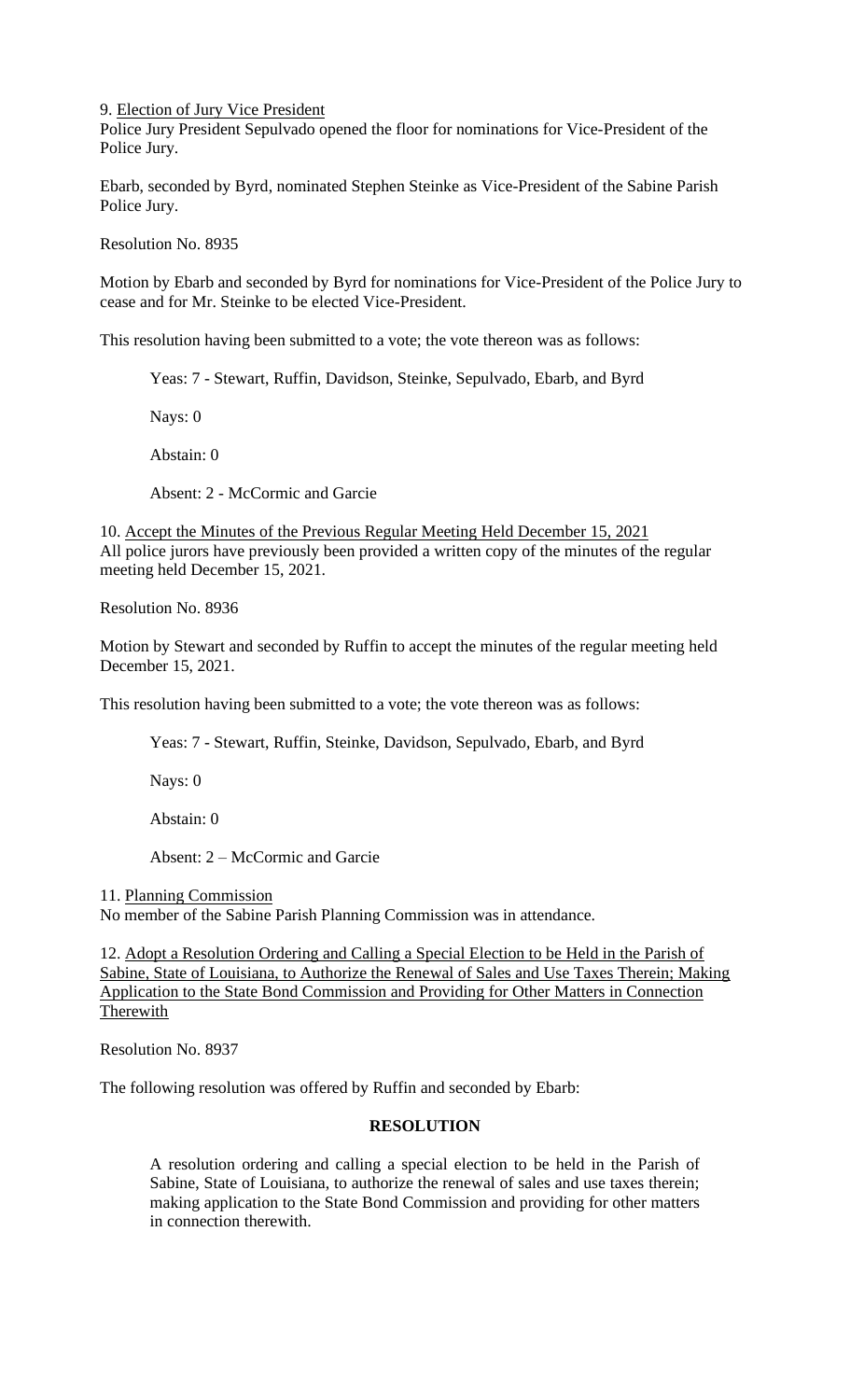9. Election of Jury Vice President

Police Jury President Sepulvado opened the floor for nominations for Vice-President of the Police Jury.

Ebarb, seconded by Byrd, nominated Stephen Steinke as Vice-President of the Sabine Parish Police Jury.

Resolution No. 8935

Motion by Ebarb and seconded by Byrd for nominations for Vice-President of the Police Jury to cease and for Mr. Steinke to be elected Vice-President.

This resolution having been submitted to a vote; the vote thereon was as follows:

Yeas: 7 - Stewart, Ruffin, Davidson, Steinke, Sepulvado, Ebarb, and Byrd

Nays: 0

Abstain: 0

Absent: 2 - McCormic and Garcie

10. Accept the Minutes of the Previous Regular Meeting Held December 15, 2021 All police jurors have previously been provided a written copy of the minutes of the regular meeting held December 15, 2021.

Resolution No. 8936

Motion by Stewart and seconded by Ruffin to accept the minutes of the regular meeting held December 15, 2021.

This resolution having been submitted to a vote; the vote thereon was as follows:

Yeas: 7 - Stewart, Ruffin, Steinke, Davidson, Sepulvado, Ebarb, and Byrd

Nays: 0

Abstain: 0

Absent: 2 – McCormic and Garcie

11. Planning Commission

No member of the Sabine Parish Planning Commission was in attendance.

12. Adopt a Resolution Ordering and Calling a Special Election to be Held in the Parish of Sabine, State of Louisiana, to Authorize the Renewal of Sales and Use Taxes Therein; Making Application to the State Bond Commission and Providing for Other Matters in Connection Therewith

Resolution No. 8937

The following resolution was offered by Ruffin and seconded by Ebarb:

# **RESOLUTION**

A resolution ordering and calling a special election to be held in the Parish of Sabine, State of Louisiana, to authorize the renewal of sales and use taxes therein; making application to the State Bond Commission and providing for other matters in connection therewith.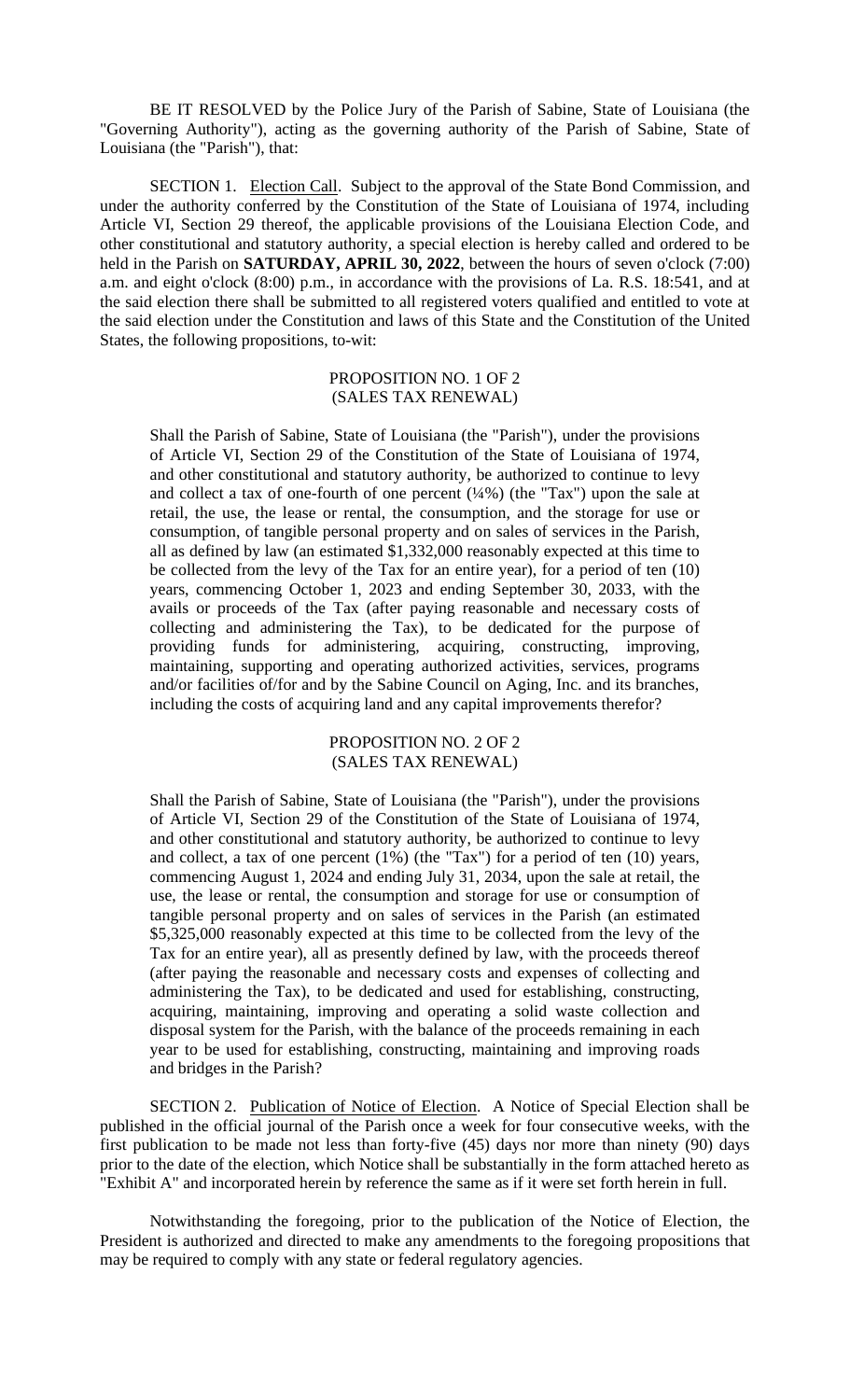BE IT RESOLVED by the Police Jury of the Parish of Sabine, State of Louisiana (the "Governing Authority"), acting as the governing authority of the Parish of Sabine, State of Louisiana (the "Parish"), that:

SECTION 1. Election Call. Subject to the approval of the State Bond Commission, and under the authority conferred by the Constitution of the State of Louisiana of 1974, including Article VI, Section 29 thereof, the applicable provisions of the Louisiana Election Code, and other constitutional and statutory authority, a special election is hereby called and ordered to be held in the Parish on **SATURDAY, APRIL 30, 2022**, between the hours of seven o'clock (7:00) a.m. and eight o'clock (8:00) p.m., in accordance with the provisions of La. R.S. 18:541, and at the said election there shall be submitted to all registered voters qualified and entitled to vote at the said election under the Constitution and laws of this State and the Constitution of the United States, the following propositions, to-wit:

#### PROPOSITION NO. 1 OF 2 (SALES TAX RENEWAL)

Shall the Parish of Sabine, State of Louisiana (the "Parish"), under the provisions of Article VI, Section 29 of the Constitution of the State of Louisiana of 1974, and other constitutional and statutory authority, be authorized to continue to levy and collect a tax of one-fourth of one percent  $(1/4%)$  (the "Tax") upon the sale at retail, the use, the lease or rental, the consumption, and the storage for use or consumption, of tangible personal property and on sales of services in the Parish, all as defined by law (an estimated \$1,332,000 reasonably expected at this time to be collected from the levy of the Tax for an entire year), for a period of ten (10) years, commencing October 1, 2023 and ending September 30, 2033, with the avails or proceeds of the Tax (after paying reasonable and necessary costs of collecting and administering the Tax), to be dedicated for the purpose of providing funds for administering, acquiring, constructing, improving, maintaining, supporting and operating authorized activities, services, programs and/or facilities of/for and by the Sabine Council on Aging, Inc. and its branches, including the costs of acquiring land and any capital improvements therefor?

> PROPOSITION NO. 2 OF 2 (SALES TAX RENEWAL)

Shall the Parish of Sabine, State of Louisiana (the "Parish"), under the provisions of Article VI, Section 29 of the Constitution of the State of Louisiana of 1974, and other constitutional and statutory authority, be authorized to continue to levy and collect, a tax of one percent (1%) (the "Tax") for a period of ten (10) years, commencing August 1, 2024 and ending July 31, 2034, upon the sale at retail, the use, the lease or rental, the consumption and storage for use or consumption of tangible personal property and on sales of services in the Parish (an estimated \$5,325,000 reasonably expected at this time to be collected from the levy of the Tax for an entire year), all as presently defined by law, with the proceeds thereof (after paying the reasonable and necessary costs and expenses of collecting and administering the Tax), to be dedicated and used for establishing, constructing, acquiring, maintaining, improving and operating a solid waste collection and disposal system for the Parish, with the balance of the proceeds remaining in each year to be used for establishing, constructing, maintaining and improving roads and bridges in the Parish?

SECTION 2. Publication of Notice of Election. A Notice of Special Election shall be published in the official journal of the Parish once a week for four consecutive weeks, with the first publication to be made not less than forty-five (45) days nor more than ninety (90) days prior to the date of the election, which Notice shall be substantially in the form attached hereto as "Exhibit A" and incorporated herein by reference the same as if it were set forth herein in full.

Notwithstanding the foregoing, prior to the publication of the Notice of Election, the President is authorized and directed to make any amendments to the foregoing propositions that may be required to comply with any state or federal regulatory agencies.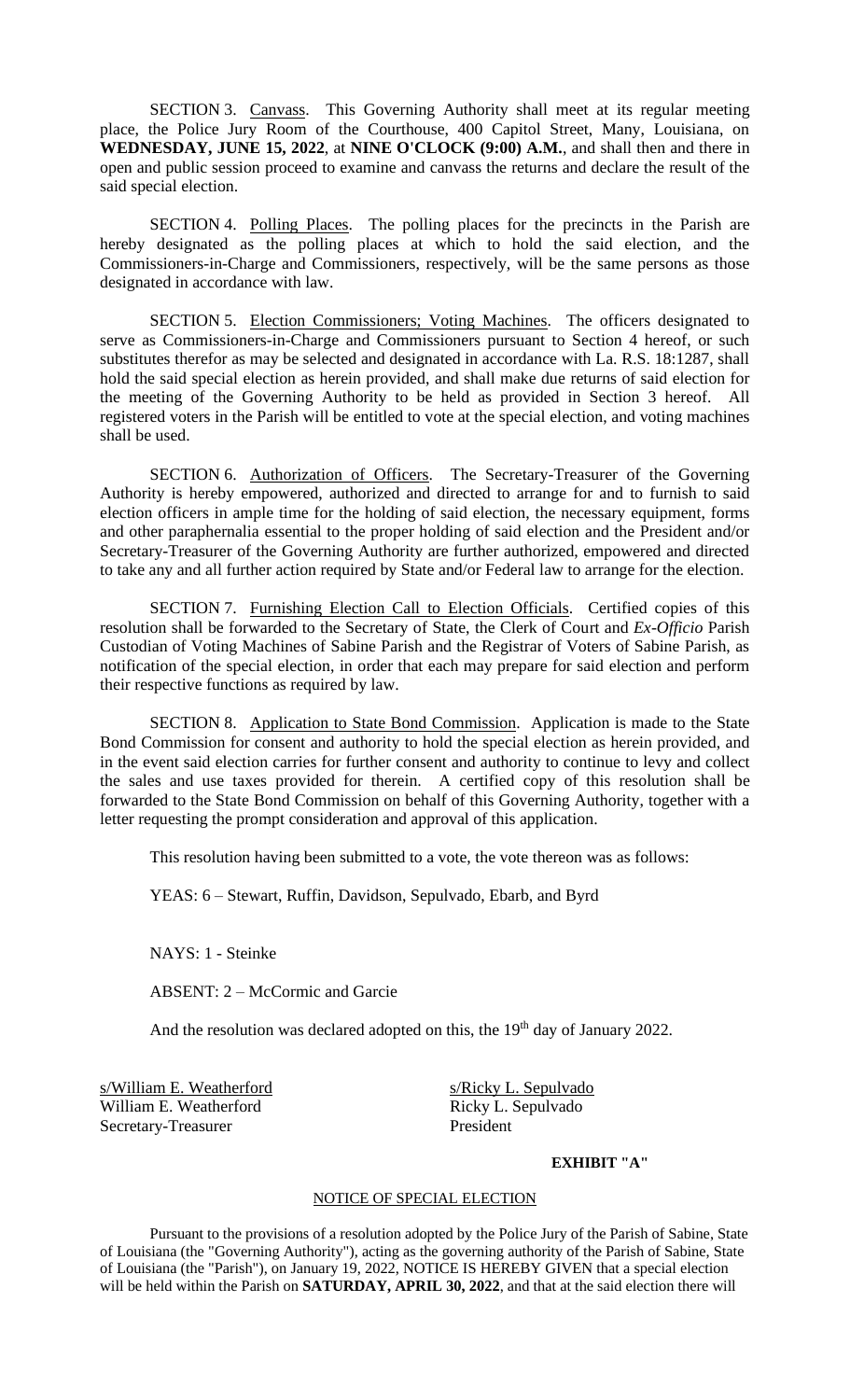SECTION 3. Canvass. This Governing Authority shall meet at its regular meeting place, the Police Jury Room of the Courthouse, 400 Capitol Street, Many, Louisiana, on **WEDNESDAY, JUNE 15, 2022**, at **NINE O'CLOCK (9:00) A.M.**, and shall then and there in open and public session proceed to examine and canvass the returns and declare the result of the said special election.

SECTION 4. Polling Places. The polling places for the precincts in the Parish are hereby designated as the polling places at which to hold the said election, and the Commissioners-in-Charge and Commissioners, respectively, will be the same persons as those designated in accordance with law.

SECTION 5. Election Commissioners; Voting Machines. The officers designated to serve as Commissioners-in-Charge and Commissioners pursuant to Section 4 hereof, or such substitutes therefor as may be selected and designated in accordance with La. R.S. 18:1287, shall hold the said special election as herein provided, and shall make due returns of said election for the meeting of the Governing Authority to be held as provided in Section 3 hereof. All registered voters in the Parish will be entitled to vote at the special election, and voting machines shall be used.

SECTION 6. Authorization of Officers. The Secretary-Treasurer of the Governing Authority is hereby empowered, authorized and directed to arrange for and to furnish to said election officers in ample time for the holding of said election, the necessary equipment, forms and other paraphernalia essential to the proper holding of said election and the President and/or Secretary-Treasurer of the Governing Authority are further authorized, empowered and directed to take any and all further action required by State and/or Federal law to arrange for the election.

SECTION 7. Furnishing Election Call to Election Officials. Certified copies of this resolution shall be forwarded to the Secretary of State, the Clerk of Court and *Ex-Officio* Parish Custodian of Voting Machines of Sabine Parish and the Registrar of Voters of Sabine Parish, as notification of the special election, in order that each may prepare for said election and perform their respective functions as required by law.

SECTION 8. Application to State Bond Commission. Application is made to the State Bond Commission for consent and authority to hold the special election as herein provided, and in the event said election carries for further consent and authority to continue to levy and collect the sales and use taxes provided for therein. A certified copy of this resolution shall be forwarded to the State Bond Commission on behalf of this Governing Authority, together with a letter requesting the prompt consideration and approval of this application.

This resolution having been submitted to a vote, the vote thereon was as follows:

YEAS: 6 – Stewart, Ruffin, Davidson, Sepulvado, Ebarb, and Byrd

NAYS: 1 - Steinke

ABSENT: 2 – McCormic and Garcie

And the resolution was declared adopted on this, the 19<sup>th</sup> day of January 2022.

s/William E. Weatherford s/Ricky L. Sepulvado William E. Weatherford Ricky L. Sepulvado Secretary-Treasurer President

# **EXHIBIT "A"**

### NOTICE OF SPECIAL ELECTION

Pursuant to the provisions of a resolution adopted by the Police Jury of the Parish of Sabine, State of Louisiana (the "Governing Authority"), acting as the governing authority of the Parish of Sabine, State of Louisiana (the "Parish"), on January 19, 2022, NOTICE IS HEREBY GIVEN that a special election will be held within the Parish on **SATURDAY, APRIL 30, 2022**, and that at the said election there will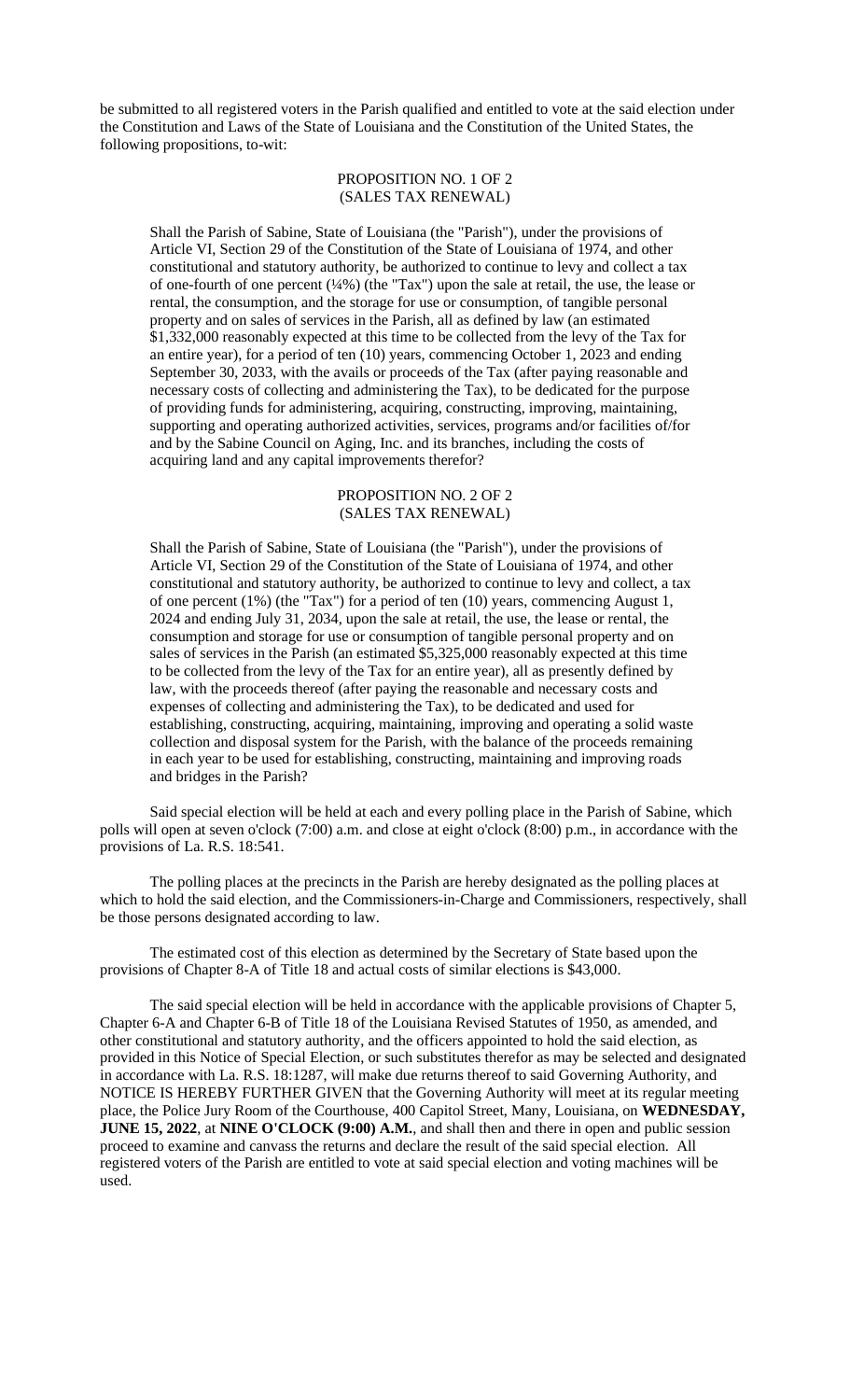be submitted to all registered voters in the Parish qualified and entitled to vote at the said election under the Constitution and Laws of the State of Louisiana and the Constitution of the United States, the following propositions, to-wit:

### PROPOSITION NO. 1 OF 2 (SALES TAX RENEWAL)

Shall the Parish of Sabine, State of Louisiana (the "Parish"), under the provisions of Article VI, Section 29 of the Constitution of the State of Louisiana of 1974, and other constitutional and statutory authority, be authorized to continue to levy and collect a tax of one-fourth of one percent (¼%) (the "Tax") upon the sale at retail, the use, the lease or rental, the consumption, and the storage for use or consumption, of tangible personal property and on sales of services in the Parish, all as defined by law (an estimated \$1,332,000 reasonably expected at this time to be collected from the levy of the Tax for an entire year), for a period of ten (10) years, commencing October 1, 2023 and ending September 30, 2033, with the avails or proceeds of the Tax (after paying reasonable and necessary costs of collecting and administering the Tax), to be dedicated for the purpose of providing funds for administering, acquiring, constructing, improving, maintaining, supporting and operating authorized activities, services, programs and/or facilities of/for and by the Sabine Council on Aging, Inc. and its branches, including the costs of acquiring land and any capital improvements therefor?

#### PROPOSITION NO. 2 OF 2 (SALES TAX RENEWAL)

Shall the Parish of Sabine, State of Louisiana (the "Parish"), under the provisions of Article VI, Section 29 of the Constitution of the State of Louisiana of 1974, and other constitutional and statutory authority, be authorized to continue to levy and collect, a tax of one percent (1%) (the "Tax") for a period of ten (10) years, commencing August 1, 2024 and ending July 31, 2034, upon the sale at retail, the use, the lease or rental, the consumption and storage for use or consumption of tangible personal property and on sales of services in the Parish (an estimated \$5,325,000 reasonably expected at this time to be collected from the levy of the Tax for an entire year), all as presently defined by law, with the proceeds thereof (after paying the reasonable and necessary costs and expenses of collecting and administering the Tax), to be dedicated and used for establishing, constructing, acquiring, maintaining, improving and operating a solid waste collection and disposal system for the Parish, with the balance of the proceeds remaining in each year to be used for establishing, constructing, maintaining and improving roads and bridges in the Parish?

Said special election will be held at each and every polling place in the Parish of Sabine, which polls will open at seven o'clock (7:00) a.m. and close at eight o'clock (8:00) p.m., in accordance with the provisions of La. R.S. 18:541.

The polling places at the precincts in the Parish are hereby designated as the polling places at which to hold the said election, and the Commissioners-in-Charge and Commissioners, respectively, shall be those persons designated according to law.

The estimated cost of this election as determined by the Secretary of State based upon the provisions of Chapter 8-A of Title 18 and actual costs of similar elections is \$43,000.

The said special election will be held in accordance with the applicable provisions of Chapter 5, Chapter 6-A and Chapter 6-B of Title 18 of the Louisiana Revised Statutes of 1950, as amended, and other constitutional and statutory authority, and the officers appointed to hold the said election, as provided in this Notice of Special Election, or such substitutes therefor as may be selected and designated in accordance with La. R.S. 18:1287, will make due returns thereof to said Governing Authority, and NOTICE IS HEREBY FURTHER GIVEN that the Governing Authority will meet at its regular meeting place, the Police Jury Room of the Courthouse, 400 Capitol Street, Many, Louisiana, on **WEDNESDAY, JUNE 15, 2022**, at **NINE O'CLOCK (9:00) A.M.**, and shall then and there in open and public session proceed to examine and canvass the returns and declare the result of the said special election. All registered voters of the Parish are entitled to vote at said special election and voting machines will be used.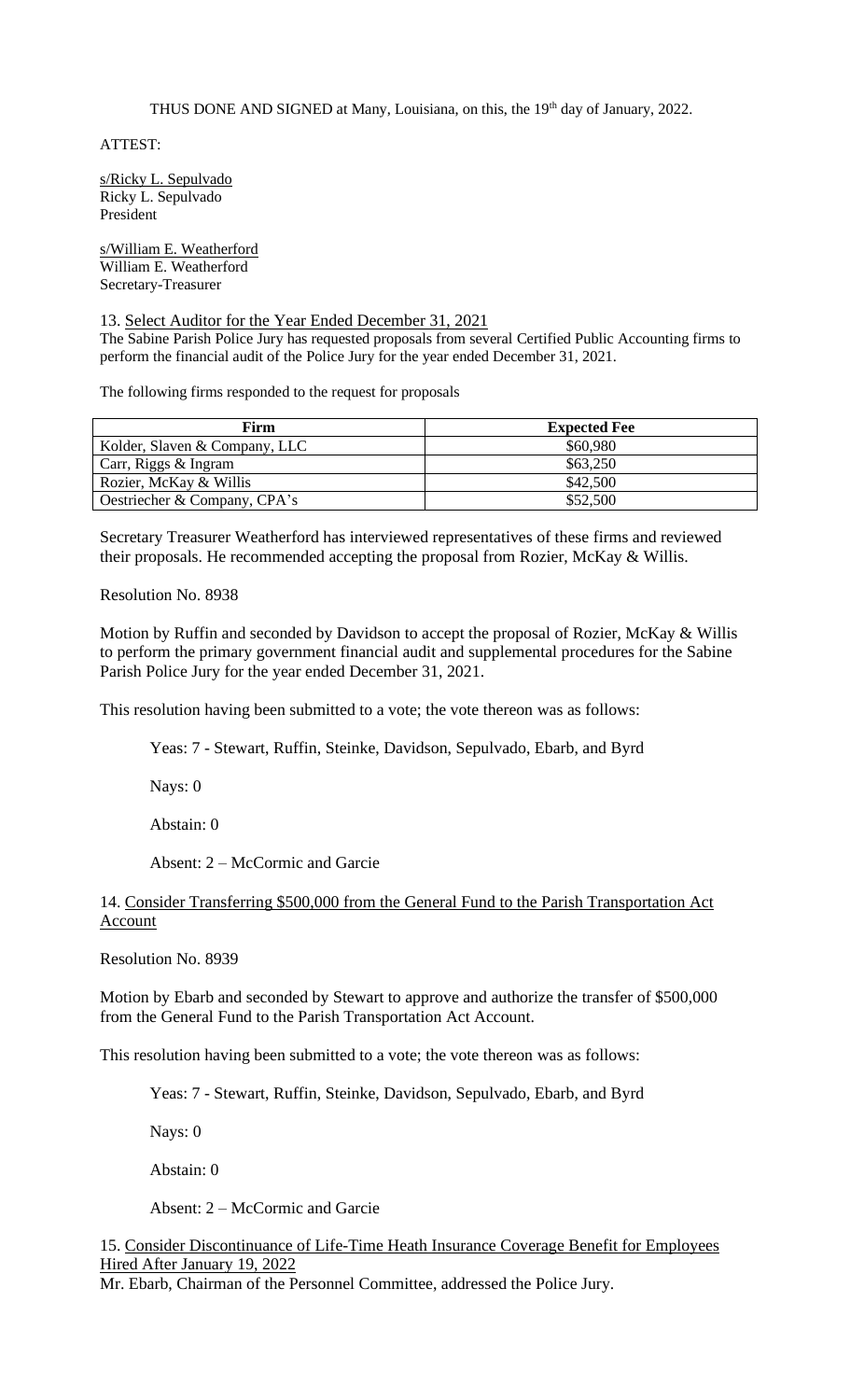THUS DONE AND SIGNED at Many, Louisiana, on this, the 19<sup>th</sup> day of January, 2022.

ATTEST:

s/Ricky L. Sepulvado Ricky L. Sepulvado President

s/William E. Weatherford William E. Weatherford Secretary-Treasurer

### 13. Select Auditor for the Year Ended December 31, 2021

The Sabine Parish Police Jury has requested proposals from several Certified Public Accounting firms to perform the financial audit of the Police Jury for the year ended December 31, 2021.

The following firms responded to the request for proposals

| Firm                          | <b>Expected Fee</b> |
|-------------------------------|---------------------|
| Kolder, Slaven & Company, LLC | \$60,980            |
| Carr, Riggs & Ingram          | \$63,250            |
| Rozier, McKay & Willis        | \$42,500            |
| Oestriecher & Company, CPA's  | \$52,500            |

Secretary Treasurer Weatherford has interviewed representatives of these firms and reviewed their proposals. He recommended accepting the proposal from Rozier, McKay & Willis.

Resolution No. 8938

Motion by Ruffin and seconded by Davidson to accept the proposal of Rozier, McKay & Willis to perform the primary government financial audit and supplemental procedures for the Sabine Parish Police Jury for the year ended December 31, 2021.

This resolution having been submitted to a vote; the vote thereon was as follows:

Yeas: 7 - Stewart, Ruffin, Steinke, Davidson, Sepulvado, Ebarb, and Byrd

Nays: 0

Abstain: 0

Absent: 2 – McCormic and Garcie

14. Consider Transferring \$500,000 from the General Fund to the Parish Transportation Act Account

Resolution No. 8939

Motion by Ebarb and seconded by Stewart to approve and authorize the transfer of \$500,000 from the General Fund to the Parish Transportation Act Account.

This resolution having been submitted to a vote; the vote thereon was as follows:

Yeas: 7 - Stewart, Ruffin, Steinke, Davidson, Sepulvado, Ebarb, and Byrd

Nays: 0

Abstain: 0

Absent: 2 – McCormic and Garcie

15. Consider Discontinuance of Life-Time Heath Insurance Coverage Benefit for Employees Hired After January 19, 2022

Mr. Ebarb, Chairman of the Personnel Committee, addressed the Police Jury.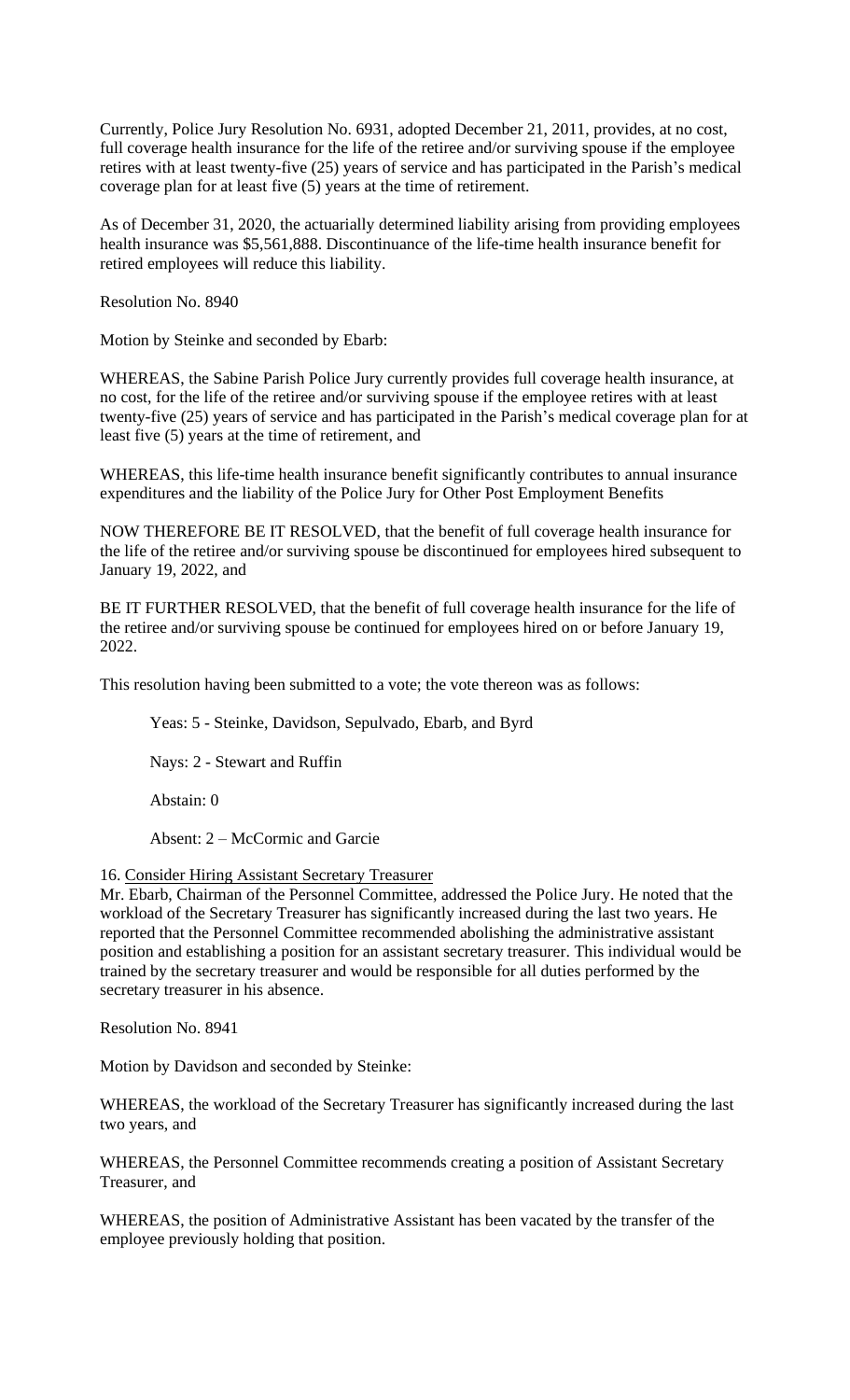Currently, Police Jury Resolution No. 6931, adopted December 21, 2011, provides, at no cost, full coverage health insurance for the life of the retiree and/or surviving spouse if the employee retires with at least twenty-five (25) years of service and has participated in the Parish's medical coverage plan for at least five (5) years at the time of retirement.

As of December 31, 2020, the actuarially determined liability arising from providing employees health insurance was \$5,561,888. Discontinuance of the life-time health insurance benefit for retired employees will reduce this liability.

Resolution No. 8940

Motion by Steinke and seconded by Ebarb:

WHEREAS, the Sabine Parish Police Jury currently provides full coverage health insurance, at no cost, for the life of the retiree and/or surviving spouse if the employee retires with at least twenty-five (25) years of service and has participated in the Parish's medical coverage plan for at least five (5) years at the time of retirement, and

WHEREAS, this life-time health insurance benefit significantly contributes to annual insurance expenditures and the liability of the Police Jury for Other Post Employment Benefits

NOW THEREFORE BE IT RESOLVED, that the benefit of full coverage health insurance for the life of the retiree and/or surviving spouse be discontinued for employees hired subsequent to January 19, 2022, and

BE IT FURTHER RESOLVED, that the benefit of full coverage health insurance for the life of the retiree and/or surviving spouse be continued for employees hired on or before January 19, 2022.

This resolution having been submitted to a vote; the vote thereon was as follows:

Yeas: 5 - Steinke, Davidson, Sepulvado, Ebarb, and Byrd

Nays: 2 - Stewart and Ruffin

Abstain: 0

Absent: 2 – McCormic and Garcie

16. Consider Hiring Assistant Secretary Treasurer

Mr. Ebarb, Chairman of the Personnel Committee, addressed the Police Jury. He noted that the workload of the Secretary Treasurer has significantly increased during the last two years. He reported that the Personnel Committee recommended abolishing the administrative assistant position and establishing a position for an assistant secretary treasurer. This individual would be trained by the secretary treasurer and would be responsible for all duties performed by the secretary treasurer in his absence.

Resolution No. 8941

Motion by Davidson and seconded by Steinke:

WHEREAS, the workload of the Secretary Treasurer has significantly increased during the last two years, and

WHEREAS, the Personnel Committee recommends creating a position of Assistant Secretary Treasurer, and

WHEREAS, the position of Administrative Assistant has been vacated by the transfer of the employee previously holding that position.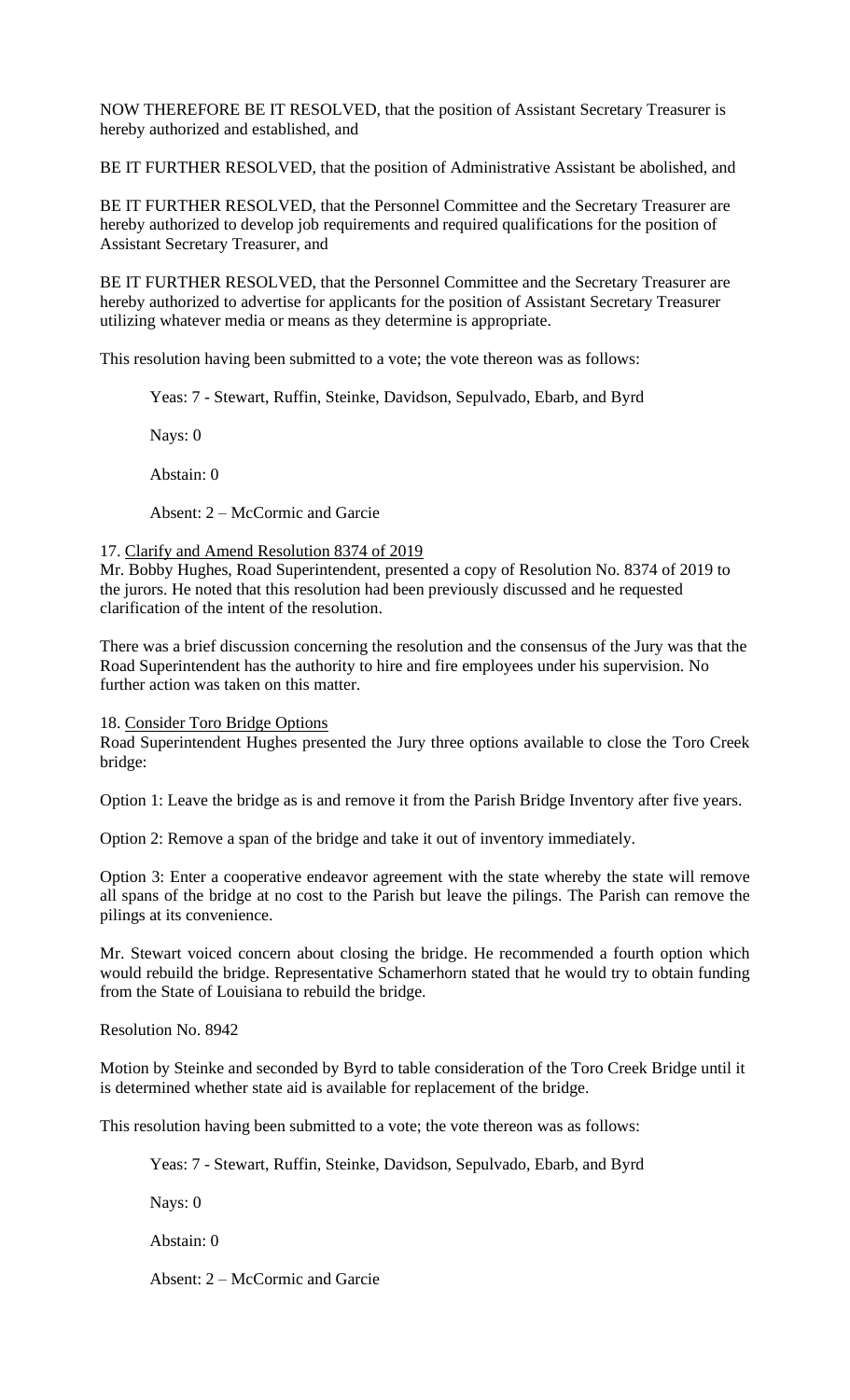NOW THEREFORE BE IT RESOLVED, that the position of Assistant Secretary Treasurer is hereby authorized and established, and

BE IT FURTHER RESOLVED, that the position of Administrative Assistant be abolished, and

BE IT FURTHER RESOLVED, that the Personnel Committee and the Secretary Treasurer are hereby authorized to develop job requirements and required qualifications for the position of Assistant Secretary Treasurer, and

BE IT FURTHER RESOLVED, that the Personnel Committee and the Secretary Treasurer are hereby authorized to advertise for applicants for the position of Assistant Secretary Treasurer utilizing whatever media or means as they determine is appropriate.

This resolution having been submitted to a vote; the vote thereon was as follows:

Yeas: 7 - Stewart, Ruffin, Steinke, Davidson, Sepulvado, Ebarb, and Byrd

Nays: 0

Abstain: 0

Absent: 2 – McCormic and Garcie

#### 17. Clarify and Amend Resolution 8374 of 2019

Mr. Bobby Hughes, Road Superintendent, presented a copy of Resolution No. 8374 of 2019 to the jurors. He noted that this resolution had been previously discussed and he requested clarification of the intent of the resolution.

There was a brief discussion concerning the resolution and the consensus of the Jury was that the Road Superintendent has the authority to hire and fire employees under his supervision. No further action was taken on this matter.

18. Consider Toro Bridge Options

Road Superintendent Hughes presented the Jury three options available to close the Toro Creek bridge:

Option 1: Leave the bridge as is and remove it from the Parish Bridge Inventory after five years.

Option 2: Remove a span of the bridge and take it out of inventory immediately.

Option 3: Enter a cooperative endeavor agreement with the state whereby the state will remove all spans of the bridge at no cost to the Parish but leave the pilings. The Parish can remove the pilings at its convenience.

Mr. Stewart voiced concern about closing the bridge. He recommended a fourth option which would rebuild the bridge. Representative Schamerhorn stated that he would try to obtain funding from the State of Louisiana to rebuild the bridge.

Resolution No. 8942

Motion by Steinke and seconded by Byrd to table consideration of the Toro Creek Bridge until it is determined whether state aid is available for replacement of the bridge.

This resolution having been submitted to a vote; the vote thereon was as follows:

Yeas: 7 - Stewart, Ruffin, Steinke, Davidson, Sepulvado, Ebarb, and Byrd

Nays: 0

Abstain: 0

Absent: 2 – McCormic and Garcie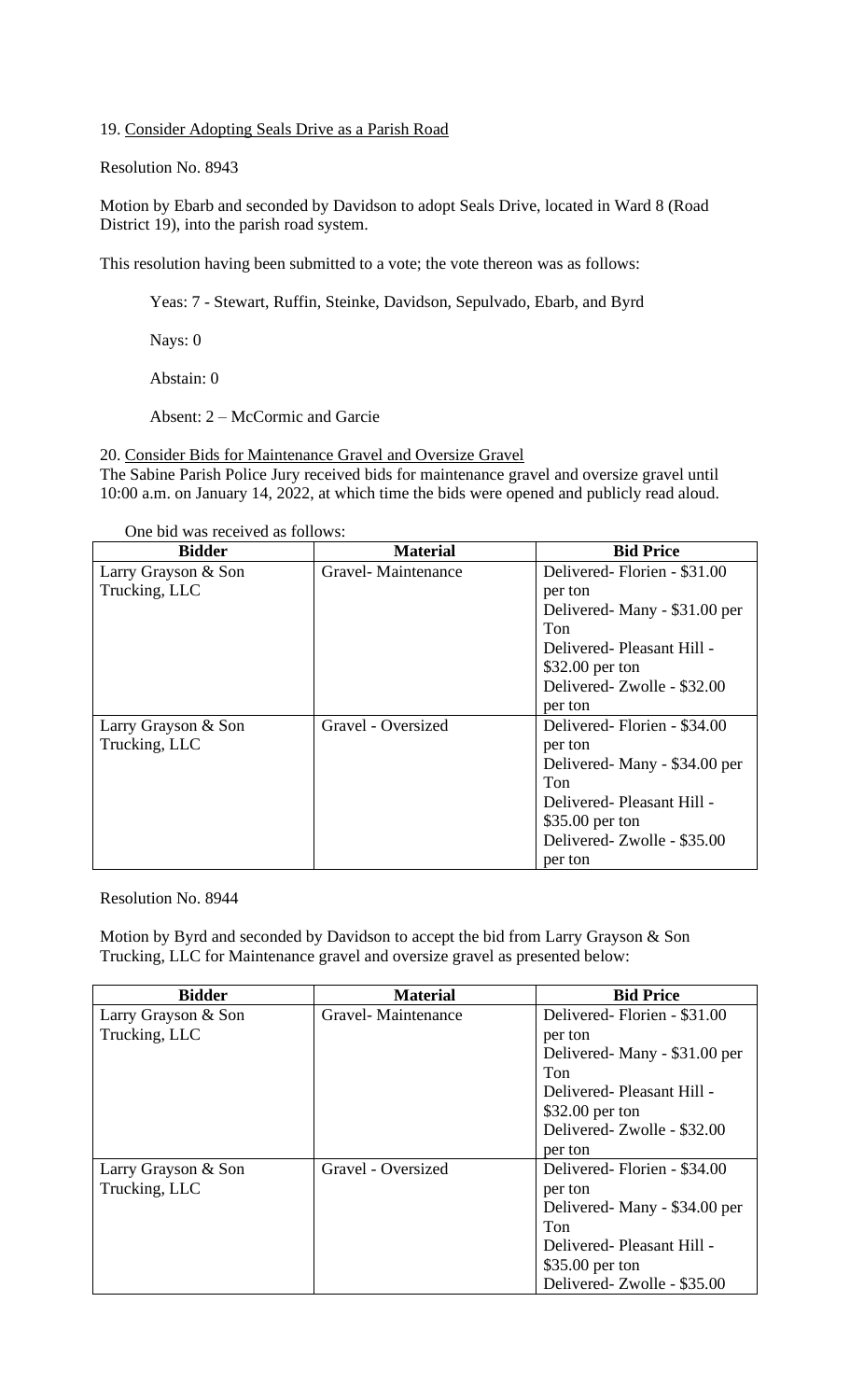19. Consider Adopting Seals Drive as a Parish Road

Resolution No. 8943

Motion by Ebarb and seconded by Davidson to adopt Seals Drive, located in Ward 8 (Road District 19), into the parish road system.

This resolution having been submitted to a vote; the vote thereon was as follows:

Yeas: 7 - Stewart, Ruffin, Steinke, Davidson, Sepulvado, Ebarb, and Byrd

Nays: 0

Abstain: 0

Absent: 2 – McCormic and Garcie

20. Consider Bids for Maintenance Gravel and Oversize Gravel The Sabine Parish Police Jury received bids for maintenance gravel and oversize gravel until 10:00 a.m. on January 14, 2022, at which time the bids were opened and publicly read aloud.

One bid was received as follows:

| <b>Bidder</b>       | <b>Material</b>    | <b>Bid Price</b>               |
|---------------------|--------------------|--------------------------------|
| Larry Grayson & Son | Gravel-Maintenance | Delivered-Florien - \$31.00    |
| Trucking, LLC       |                    | per ton                        |
|                     |                    | Delivered - Many - \$31.00 per |
|                     |                    | Ton                            |
|                     |                    | Delivered-Pleasant Hill -      |
|                     |                    | \$32.00 per ton                |
|                     |                    | Delivered-Zwolle - \$32.00     |
|                     |                    | per ton                        |
| Larry Grayson & Son | Gravel - Oversized | Delivered-Florien - \$34.00    |
| Trucking, LLC       |                    | per ton                        |
|                     |                    | Delivered - Many - \$34.00 per |
|                     |                    | Ton                            |
|                     |                    | Delivered-Pleasant Hill -      |
|                     |                    | \$35.00 per ton                |
|                     |                    | Delivered- Zwolle - \$35.00    |
|                     |                    | per ton                        |

Resolution No. 8944

Motion by Byrd and seconded by Davidson to accept the bid from Larry Grayson & Son Trucking, LLC for Maintenance gravel and oversize gravel as presented below:

| <b>Bidder</b>       | <b>Material</b>    | <b>Bid Price</b>               |
|---------------------|--------------------|--------------------------------|
| Larry Grayson & Son | Gravel-Maintenance | Delivered-Florien - \$31.00    |
| Trucking, LLC       |                    | per ton                        |
|                     |                    | Delivered - Many - \$31.00 per |
|                     |                    | Ton                            |
|                     |                    | Delivered-Pleasant Hill -      |
|                     |                    | \$32.00 per ton                |
|                     |                    | Delivered- Zwolle - \$32.00    |
|                     |                    | per ton                        |
| Larry Grayson & Son | Gravel - Oversized | Delivered-Florien - \$34.00    |
| Trucking, LLC       |                    | per ton                        |
|                     |                    | Delivered - Many - \$34.00 per |
|                     |                    | Ton                            |
|                     |                    | Delivered-Pleasant Hill -      |
|                     |                    | \$35.00 per ton                |
|                     |                    | Delivered-Zwolle - \$35.00     |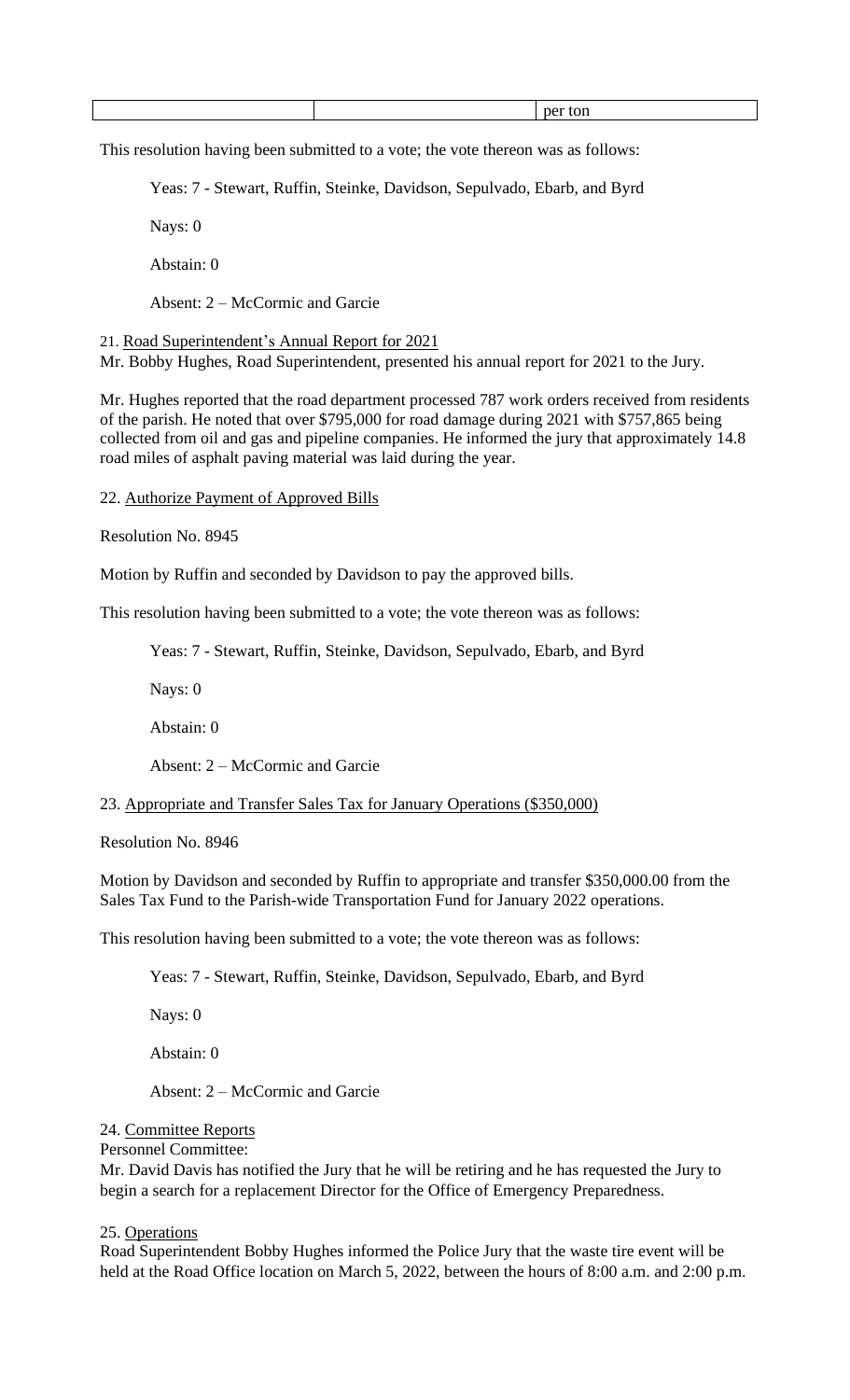|  |  |  | - |
|--|--|--|---|
|--|--|--|---|

This resolution having been submitted to a vote; the vote thereon was as follows:

Yeas: 7 - Stewart, Ruffin, Steinke, Davidson, Sepulvado, Ebarb, and Byrd

Nays: 0

Abstain: 0

Absent: 2 – McCormic and Garcie

21. Road Superintendent's Annual Report for 2021

Mr. Bobby Hughes, Road Superintendent, presented his annual report for 2021 to the Jury.

Mr. Hughes reported that the road department processed 787 work orders received from residents of the parish. He noted that over \$795,000 for road damage during 2021 with \$757,865 being collected from oil and gas and pipeline companies. He informed the jury that approximately 14.8 road miles of asphalt paving material was laid during the year.

22. Authorize Payment of Approved Bills

Resolution No. 8945

Motion by Ruffin and seconded by Davidson to pay the approved bills.

This resolution having been submitted to a vote; the vote thereon was as follows:

Yeas: 7 - Stewart, Ruffin, Steinke, Davidson, Sepulvado, Ebarb, and Byrd

Nays: 0

Abstain: 0

Absent: 2 – McCormic and Garcie

23. Appropriate and Transfer Sales Tax for January Operations (\$350,000)

Resolution No. 8946

Motion by Davidson and seconded by Ruffin to appropriate and transfer \$350,000.00 from the Sales Tax Fund to the Parish-wide Transportation Fund for January 2022 operations.

This resolution having been submitted to a vote; the vote thereon was as follows:

Yeas: 7 - Stewart, Ruffin, Steinke, Davidson, Sepulvado, Ebarb, and Byrd

Nays: 0

Abstain: 0

Absent: 2 – McCormic and Garcie

### 24. Committee Reports

# Personnel Committee:

Mr. David Davis has notified the Jury that he will be retiring and he has requested the Jury to begin a search for a replacement Director for the Office of Emergency Preparedness.

### 25. Operations

Road Superintendent Bobby Hughes informed the Police Jury that the waste tire event will be held at the Road Office location on March 5, 2022, between the hours of 8:00 a.m. and 2:00 p.m.